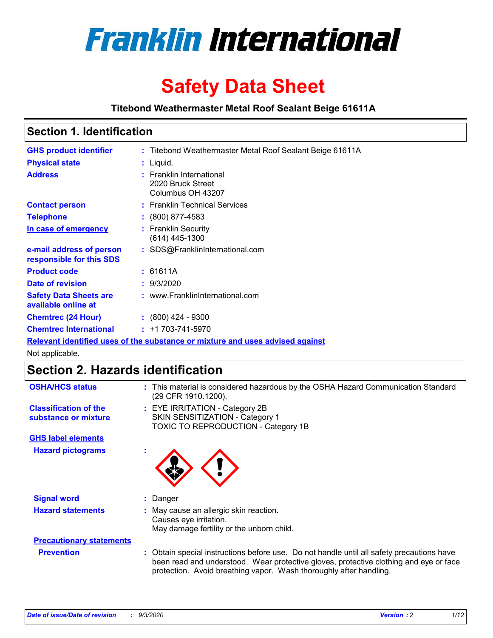

# **Safety Data Sheet**

**Titebond Weathermaster Metal Roof Sealant Beige 61611A**

### **Section 1. Identification**

| <b>GHS product identifier</b>                        | : Titebond Weathermaster Metal Roof Sealant Beige 61611A                      |  |
|------------------------------------------------------|-------------------------------------------------------------------------------|--|
| <b>Physical state</b>                                | : Liquid.                                                                     |  |
| <b>Address</b>                                       | : Franklin International<br>2020 Bruck Street<br>Columbus OH 43207            |  |
| <b>Contact person</b>                                | : Franklin Technical Services                                                 |  |
| <b>Telephone</b>                                     | $\div$ (800) 877-4583                                                         |  |
| In case of emergency                                 | : Franklin Security<br>$(614)$ 445-1300                                       |  |
| e-mail address of person<br>responsible for this SDS | : SDS@FranklinInternational.com                                               |  |
| <b>Product code</b>                                  | : 61611A                                                                      |  |
| Date of revision                                     | : 9/3/2020                                                                    |  |
| <b>Safety Data Sheets are</b><br>available online at | : www.FranklinInternational.com                                               |  |
| <b>Chemtrec (24 Hour)</b>                            | $\div$ (800) 424 - 9300                                                       |  |
| <b>Chemtrec International</b>                        | $: +1703 - 741 - 5970$                                                        |  |
|                                                      | Relevant identified uses of the substance or mixture and uses advised against |  |

Not applicable.

# **Section 2. Hazards identification**

| <b>OSHA/HCS status</b>                               |    | : This material is considered hazardous by the OSHA Hazard Communication Standard<br>(29 CFR 1910.1200).                                                                                                                                                 |  |  |  |
|------------------------------------------------------|----|----------------------------------------------------------------------------------------------------------------------------------------------------------------------------------------------------------------------------------------------------------|--|--|--|
| <b>Classification of the</b><br>substance or mixture |    | : EYE IRRITATION - Category 2B<br>SKIN SENSITIZATION - Category 1<br>TOXIC TO REPRODUCTION - Category 1B                                                                                                                                                 |  |  |  |
| <b>GHS label elements</b>                            |    |                                                                                                                                                                                                                                                          |  |  |  |
| <b>Hazard pictograms</b>                             | ×. |                                                                                                                                                                                                                                                          |  |  |  |
| <b>Signal word</b>                                   | ÷. | Danger                                                                                                                                                                                                                                                   |  |  |  |
| <b>Hazard statements</b>                             |    | May cause an allergic skin reaction.<br>Causes eye irritation.<br>May damage fertility or the unborn child.                                                                                                                                              |  |  |  |
| <b>Precautionary statements</b>                      |    |                                                                                                                                                                                                                                                          |  |  |  |
| <b>Prevention</b>                                    |    | : Obtain special instructions before use. Do not handle until all safety precautions have<br>been read and understood. Wear protective gloves, protective clothing and eye or face<br>protection. Avoid breathing vapor. Wash thoroughly after handling. |  |  |  |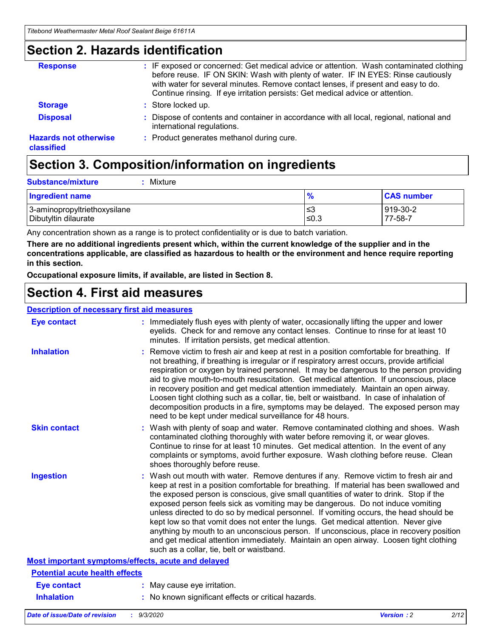### **Section 2. Hazards identification**

| <b>Response</b>                            | : IF exposed or concerned: Get medical advice or attention. Wash contaminated clothing<br>before reuse. IF ON SKIN: Wash with plenty of water. IF IN EYES: Rinse cautiously<br>with water for several minutes. Remove contact lenses, if present and easy to do.<br>Continue rinsing. If eye irritation persists: Get medical advice or attention. |
|--------------------------------------------|----------------------------------------------------------------------------------------------------------------------------------------------------------------------------------------------------------------------------------------------------------------------------------------------------------------------------------------------------|
| <b>Storage</b>                             | : Store locked up.                                                                                                                                                                                                                                                                                                                                 |
| <b>Disposal</b>                            | : Dispose of contents and container in accordance with all local, regional, national and<br>international regulations.                                                                                                                                                                                                                             |
| <b>Hazards not otherwise</b><br>classified | : Product generates methanol during cure.                                                                                                                                                                                                                                                                                                          |

# **Section 3. Composition/information on ingredients**

| <b>Substance/mixture</b> |  | : Mixture |
|--------------------------|--|-----------|
|--------------------------|--|-----------|

| <b>Ingredient name</b>       | $\frac{9}{6}$ | <b>CAS number</b> |
|------------------------------|---------------|-------------------|
| 3-aminopropyltriethoxysilane | ≤3            | 919-30-2          |
| Dibutyltin dilaurate         | ∣≤0.3         | 77-58-7           |

Any concentration shown as a range is to protect confidentiality or is due to batch variation.

**There are no additional ingredients present which, within the current knowledge of the supplier and in the concentrations applicable, are classified as hazardous to health or the environment and hence require reporting in this section.**

**Occupational exposure limits, if available, are listed in Section 8.**

### **Section 4. First aid measures**

| <b>Description of necessary first aid measures</b> |                                                                                                                                                                                                                                                                                                                                                                                                                                                                                                                                                                                                                                                                                                                                                                           |
|----------------------------------------------------|---------------------------------------------------------------------------------------------------------------------------------------------------------------------------------------------------------------------------------------------------------------------------------------------------------------------------------------------------------------------------------------------------------------------------------------------------------------------------------------------------------------------------------------------------------------------------------------------------------------------------------------------------------------------------------------------------------------------------------------------------------------------------|
| <b>Eye contact</b>                                 | : Immediately flush eyes with plenty of water, occasionally lifting the upper and lower<br>eyelids. Check for and remove any contact lenses. Continue to rinse for at least 10<br>minutes. If irritation persists, get medical attention.                                                                                                                                                                                                                                                                                                                                                                                                                                                                                                                                 |
| <b>Inhalation</b>                                  | : Remove victim to fresh air and keep at rest in a position comfortable for breathing. If<br>not breathing, if breathing is irregular or if respiratory arrest occurs, provide artificial<br>respiration or oxygen by trained personnel. It may be dangerous to the person providing<br>aid to give mouth-to-mouth resuscitation. Get medical attention. If unconscious, place<br>in recovery position and get medical attention immediately. Maintain an open airway.<br>Loosen tight clothing such as a collar, tie, belt or waistband. In case of inhalation of<br>decomposition products in a fire, symptoms may be delayed. The exposed person may<br>need to be kept under medical surveillance for 48 hours.                                                       |
| <b>Skin contact</b>                                | : Wash with plenty of soap and water. Remove contaminated clothing and shoes. Wash<br>contaminated clothing thoroughly with water before removing it, or wear gloves.<br>Continue to rinse for at least 10 minutes. Get medical attention. In the event of any<br>complaints or symptoms, avoid further exposure. Wash clothing before reuse. Clean<br>shoes thoroughly before reuse.                                                                                                                                                                                                                                                                                                                                                                                     |
| <b>Ingestion</b>                                   | : Wash out mouth with water. Remove dentures if any. Remove victim to fresh air and<br>keep at rest in a position comfortable for breathing. If material has been swallowed and<br>the exposed person is conscious, give small quantities of water to drink. Stop if the<br>exposed person feels sick as vomiting may be dangerous. Do not induce vomiting<br>unless directed to do so by medical personnel. If vomiting occurs, the head should be<br>kept low so that vomit does not enter the lungs. Get medical attention. Never give<br>anything by mouth to an unconscious person. If unconscious, place in recovery position<br>and get medical attention immediately. Maintain an open airway. Loosen tight clothing<br>such as a collar, tie, belt or waistband. |
| Most important symptoms/effects, acute and delayed |                                                                                                                                                                                                                                                                                                                                                                                                                                                                                                                                                                                                                                                                                                                                                                           |
| <b>Potential acute health effects</b>              |                                                                                                                                                                                                                                                                                                                                                                                                                                                                                                                                                                                                                                                                                                                                                                           |
| Eye contact                                        | : May cause eye irritation.                                                                                                                                                                                                                                                                                                                                                                                                                                                                                                                                                                                                                                                                                                                                               |
| <b>Inhalation</b>                                  | : No known significant effects or critical hazards.                                                                                                                                                                                                                                                                                                                                                                                                                                                                                                                                                                                                                                                                                                                       |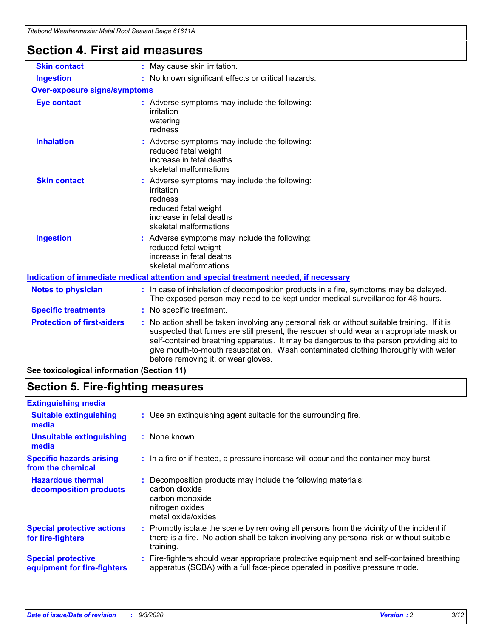| <u>Hiebona Wealhennasier MelarNoor Sealahl Belge 01011A</u> |                                                                                                                                                                                                                                                                                                                                                                                                                 |  |  |  |
|-------------------------------------------------------------|-----------------------------------------------------------------------------------------------------------------------------------------------------------------------------------------------------------------------------------------------------------------------------------------------------------------------------------------------------------------------------------------------------------------|--|--|--|
| <b>Section 4. First aid measures</b>                        |                                                                                                                                                                                                                                                                                                                                                                                                                 |  |  |  |
| <b>Skin contact</b>                                         | : May cause skin irritation.                                                                                                                                                                                                                                                                                                                                                                                    |  |  |  |
| <b>Ingestion</b>                                            | : No known significant effects or critical hazards.                                                                                                                                                                                                                                                                                                                                                             |  |  |  |
| Over-exposure signs/symptoms                                |                                                                                                                                                                                                                                                                                                                                                                                                                 |  |  |  |
| <b>Eye contact</b>                                          | : Adverse symptoms may include the following:<br>irritation<br>watering<br>redness                                                                                                                                                                                                                                                                                                                              |  |  |  |
| <b>Inhalation</b>                                           | : Adverse symptoms may include the following:<br>reduced fetal weight<br>increase in fetal deaths<br>skeletal malformations                                                                                                                                                                                                                                                                                     |  |  |  |
| <b>Skin contact</b>                                         | : Adverse symptoms may include the following:<br>irritation<br>redness<br>reduced fetal weight<br>increase in fetal deaths<br>skeletal malformations                                                                                                                                                                                                                                                            |  |  |  |
| <b>Ingestion</b>                                            | : Adverse symptoms may include the following:<br>reduced fetal weight<br>increase in fetal deaths<br>skeletal malformations                                                                                                                                                                                                                                                                                     |  |  |  |
|                                                             | Indication of immediate medical attention and special treatment needed, if necessary                                                                                                                                                                                                                                                                                                                            |  |  |  |
| <b>Notes to physician</b>                                   | : In case of inhalation of decomposition products in a fire, symptoms may be delayed.<br>The exposed person may need to be kept under medical surveillance for 48 hours.                                                                                                                                                                                                                                        |  |  |  |
| <b>Specific treatments</b>                                  | : No specific treatment.                                                                                                                                                                                                                                                                                                                                                                                        |  |  |  |
| <b>Protection of first-aiders</b>                           | : No action shall be taken involving any personal risk or without suitable training. If it is<br>suspected that fumes are still present, the rescuer should wear an appropriate mask or<br>self-contained breathing apparatus. It may be dangerous to the person providing aid to<br>give mouth-to-mouth resuscitation. Wash contaminated clothing thoroughly with water<br>before removing it, or wear gloves. |  |  |  |
| See toxicological information (Section 11)                  |                                                                                                                                                                                                                                                                                                                                                                                                                 |  |  |  |

# **Section 5. Fire-fighting measures**

| : Use an extinguishing agent suitable for the surrounding fire.                                                                                                                                   |
|---------------------------------------------------------------------------------------------------------------------------------------------------------------------------------------------------|
| : None known.                                                                                                                                                                                     |
| : In a fire or if heated, a pressure increase will occur and the container may burst.                                                                                                             |
| Decomposition products may include the following materials:<br>carbon dioxide<br>carbon monoxide<br>nitrogen oxides<br>metal oxide/oxides                                                         |
| Promptly isolate the scene by removing all persons from the vicinity of the incident if<br>there is a fire. No action shall be taken involving any personal risk or without suitable<br>training. |
| : Fire-fighters should wear appropriate protective equipment and self-contained breathing<br>apparatus (SCBA) with a full face-piece operated in positive pressure mode.                          |
|                                                                                                                                                                                                   |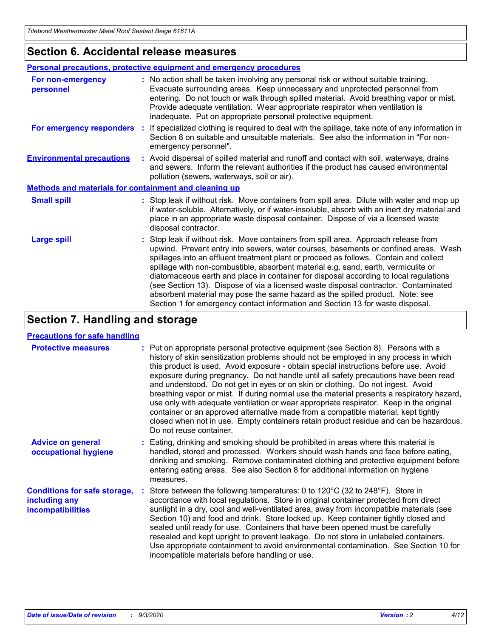### **Section 6. Accidental release measures**

|                                                              | <b>Personal precautions, protective equipment and emergency procedures</b>                                                                                                                                                                                                                                                                                                                                                                                                                                                                                                                                                                                                                                   |  |  |  |  |
|--------------------------------------------------------------|--------------------------------------------------------------------------------------------------------------------------------------------------------------------------------------------------------------------------------------------------------------------------------------------------------------------------------------------------------------------------------------------------------------------------------------------------------------------------------------------------------------------------------------------------------------------------------------------------------------------------------------------------------------------------------------------------------------|--|--|--|--|
| For non-emergency<br>personnel                               | : No action shall be taken involving any personal risk or without suitable training.<br>Evacuate surrounding areas. Keep unnecessary and unprotected personnel from<br>entering. Do not touch or walk through spilled material. Avoid breathing vapor or mist.<br>Provide adequate ventilation. Wear appropriate respirator when ventilation is<br>inadequate. Put on appropriate personal protective equipment.                                                                                                                                                                                                                                                                                             |  |  |  |  |
| For emergency responders                                     | : If specialized clothing is required to deal with the spillage, take note of any information in<br>Section 8 on suitable and unsuitable materials. See also the information in "For non-<br>emergency personnel".                                                                                                                                                                                                                                                                                                                                                                                                                                                                                           |  |  |  |  |
| <b>Environmental precautions</b>                             | : Avoid dispersal of spilled material and runoff and contact with soil, waterways, drains<br>and sewers. Inform the relevant authorities if the product has caused environmental<br>pollution (sewers, waterways, soil or air).                                                                                                                                                                                                                                                                                                                                                                                                                                                                              |  |  |  |  |
| <b>Methods and materials for containment and cleaning up</b> |                                                                                                                                                                                                                                                                                                                                                                                                                                                                                                                                                                                                                                                                                                              |  |  |  |  |
| <b>Small spill</b>                                           | : Stop leak if without risk. Move containers from spill area. Dilute with water and mop up<br>if water-soluble. Alternatively, or if water-insoluble, absorb with an inert dry material and<br>place in an appropriate waste disposal container. Dispose of via a licensed waste<br>disposal contractor.                                                                                                                                                                                                                                                                                                                                                                                                     |  |  |  |  |
| <b>Large spill</b>                                           | : Stop leak if without risk. Move containers from spill area. Approach release from<br>upwind. Prevent entry into sewers, water courses, basements or confined areas. Wash<br>spillages into an effluent treatment plant or proceed as follows. Contain and collect<br>spillage with non-combustible, absorbent material e.g. sand, earth, vermiculite or<br>diatomaceous earth and place in container for disposal according to local regulations<br>(see Section 13). Dispose of via a licensed waste disposal contractor. Contaminated<br>absorbent material may pose the same hazard as the spilled product. Note: see<br>Section 1 for emergency contact information and Section 13 for waste disposal. |  |  |  |  |

## **Section 7. Handling and storage**

### **Precautions for safe handling**

| <b>Protective measures</b>                                                       | : Put on appropriate personal protective equipment (see Section 8). Persons with a<br>history of skin sensitization problems should not be employed in any process in which<br>this product is used. Avoid exposure - obtain special instructions before use. Avoid<br>exposure during pregnancy. Do not handle until all safety precautions have been read<br>and understood. Do not get in eyes or on skin or clothing. Do not ingest. Avoid<br>breathing vapor or mist. If during normal use the material presents a respiratory hazard,<br>use only with adequate ventilation or wear appropriate respirator. Keep in the original<br>container or an approved alternative made from a compatible material, kept tightly<br>closed when not in use. Empty containers retain product residue and can be hazardous.<br>Do not reuse container. |  |
|----------------------------------------------------------------------------------|--------------------------------------------------------------------------------------------------------------------------------------------------------------------------------------------------------------------------------------------------------------------------------------------------------------------------------------------------------------------------------------------------------------------------------------------------------------------------------------------------------------------------------------------------------------------------------------------------------------------------------------------------------------------------------------------------------------------------------------------------------------------------------------------------------------------------------------------------|--|
| <b>Advice on general</b><br>occupational hygiene                                 | : Eating, drinking and smoking should be prohibited in areas where this material is<br>handled, stored and processed. Workers should wash hands and face before eating,<br>drinking and smoking. Remove contaminated clothing and protective equipment before<br>entering eating areas. See also Section 8 for additional information on hygiene<br>measures.                                                                                                                                                                                                                                                                                                                                                                                                                                                                                    |  |
| <b>Conditions for safe storage,</b><br>including any<br><i>incompatibilities</i> | Store between the following temperatures: 0 to 120°C (32 to 248°F). Store in<br>accordance with local regulations. Store in original container protected from direct<br>sunlight in a dry, cool and well-ventilated area, away from incompatible materials (see<br>Section 10) and food and drink. Store locked up. Keep container tightly closed and<br>sealed until ready for use. Containers that have been opened must be carefully<br>resealed and kept upright to prevent leakage. Do not store in unlabeled containers.<br>Use appropriate containment to avoid environmental contamination. See Section 10 for<br>incompatible materials before handling or use.                                                                                                                                                                         |  |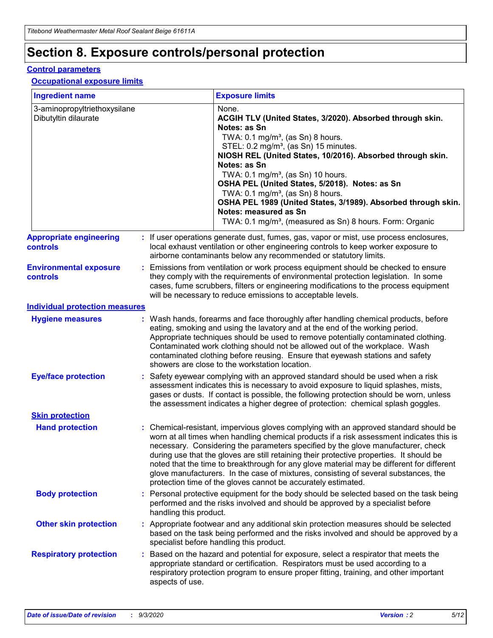# **Section 8. Exposure controls/personal protection**

### **Control parameters**

#### **Occupational exposure limits**

| <b>Ingredient name</b>                               |    |                        | <b>Exposure limits</b>                                                                                                                                                                                                                                                                                                                                                                                                                                                                                                                                                                                                 |
|------------------------------------------------------|----|------------------------|------------------------------------------------------------------------------------------------------------------------------------------------------------------------------------------------------------------------------------------------------------------------------------------------------------------------------------------------------------------------------------------------------------------------------------------------------------------------------------------------------------------------------------------------------------------------------------------------------------------------|
| 3-aminopropyltriethoxysilane<br>Dibutyltin dilaurate |    |                        | None.<br>ACGIH TLV (United States, 3/2020). Absorbed through skin.<br>Notes: as Sn<br>TWA: $0.1 \text{ mg/m}^3$ , (as Sn) 8 hours.<br>STEL: 0.2 mg/m <sup>3</sup> , (as Sn) 15 minutes.<br>NIOSH REL (United States, 10/2016). Absorbed through skin.<br>Notes: as Sn<br>TWA: 0.1 mg/m <sup>3</sup> , (as Sn) 10 hours.<br>OSHA PEL (United States, 5/2018). Notes: as Sn<br>TWA: 0.1 mg/m <sup>3</sup> , (as Sn) 8 hours.<br>OSHA PEL 1989 (United States, 3/1989). Absorbed through skin.<br>Notes: measured as Sn<br>TWA: 0.1 mg/m <sup>3</sup> , (measured as Sn) 8 hours. Form: Organic                           |
| <b>Appropriate engineering</b><br>controls           |    |                        | : If user operations generate dust, fumes, gas, vapor or mist, use process enclosures,<br>local exhaust ventilation or other engineering controls to keep worker exposure to<br>airborne contaminants below any recommended or statutory limits.                                                                                                                                                                                                                                                                                                                                                                       |
| <b>Environmental exposure</b><br>controls            |    |                        | Emissions from ventilation or work process equipment should be checked to ensure<br>they comply with the requirements of environmental protection legislation. In some<br>cases, fume scrubbers, filters or engineering modifications to the process equipment<br>will be necessary to reduce emissions to acceptable levels.                                                                                                                                                                                                                                                                                          |
| <b>Individual protection measures</b>                |    |                        |                                                                                                                                                                                                                                                                                                                                                                                                                                                                                                                                                                                                                        |
| <b>Hygiene measures</b>                              |    |                        | : Wash hands, forearms and face thoroughly after handling chemical products, before<br>eating, smoking and using the lavatory and at the end of the working period.<br>Appropriate techniques should be used to remove potentially contaminated clothing.<br>Contaminated work clothing should not be allowed out of the workplace. Wash<br>contaminated clothing before reusing. Ensure that eyewash stations and safety<br>showers are close to the workstation location.                                                                                                                                            |
| <b>Eye/face protection</b>                           |    |                        | Safety eyewear complying with an approved standard should be used when a risk<br>assessment indicates this is necessary to avoid exposure to liquid splashes, mists,<br>gases or dusts. If contact is possible, the following protection should be worn, unless<br>the assessment indicates a higher degree of protection: chemical splash goggles.                                                                                                                                                                                                                                                                    |
| <b>Skin protection</b>                               |    |                        |                                                                                                                                                                                                                                                                                                                                                                                                                                                                                                                                                                                                                        |
| <b>Hand protection</b>                               |    |                        | : Chemical-resistant, impervious gloves complying with an approved standard should be<br>worn at all times when handling chemical products if a risk assessment indicates this is<br>necessary. Considering the parameters specified by the glove manufacturer, check<br>during use that the gloves are still retaining their protective properties. It should be<br>noted that the time to breakthrough for any glove material may be different for different<br>glove manufacturers. In the case of mixtures, consisting of several substances, the<br>protection time of the gloves cannot be accurately estimated. |
| <b>Body protection</b>                               |    | handling this product. | Personal protective equipment for the body should be selected based on the task being<br>performed and the risks involved and should be approved by a specialist before                                                                                                                                                                                                                                                                                                                                                                                                                                                |
| <b>Other skin protection</b>                         |    |                        | : Appropriate footwear and any additional skin protection measures should be selected<br>based on the task being performed and the risks involved and should be approved by a<br>specialist before handling this product.                                                                                                                                                                                                                                                                                                                                                                                              |
| <b>Respiratory protection</b>                        | ÷. | aspects of use.        | Based on the hazard and potential for exposure, select a respirator that meets the<br>appropriate standard or certification. Respirators must be used according to a<br>respiratory protection program to ensure proper fitting, training, and other important                                                                                                                                                                                                                                                                                                                                                         |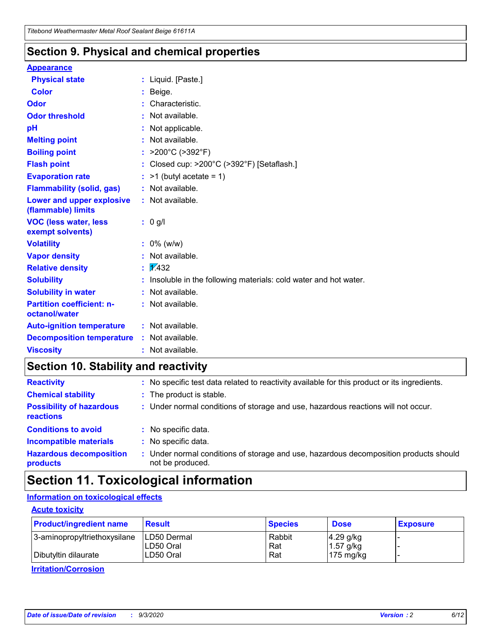### **Section 9. Physical and chemical properties**

#### **Appearance**

| <b>Physical state</b>                             |    | : Liquid. [Paste.]                                              |
|---------------------------------------------------|----|-----------------------------------------------------------------|
| <b>Color</b>                                      |    | Beige.                                                          |
| Odor                                              |    | Characteristic.                                                 |
| <b>Odor threshold</b>                             |    | Not available.                                                  |
| рH                                                |    | Not applicable.                                                 |
| <b>Melting point</b>                              |    | Not available.                                                  |
| <b>Boiling point</b>                              |    | : $>200^{\circ}$ C ( $>392^{\circ}$ F)                          |
| <b>Flash point</b>                                |    | Closed cup: >200°C (>392°F) [Setaflash.]                        |
| <b>Evaporation rate</b>                           |    | $:$ >1 (butyl acetate = 1)                                      |
| <b>Flammability (solid, gas)</b>                  |    | : Not available.                                                |
| Lower and upper explosive<br>(flammable) limits   |    | : Not available.                                                |
| <b>VOC (less water, less</b><br>exempt solvents)  |    | : 0 g/l                                                         |
| <b>Volatility</b>                                 |    | $: 0\%$ (w/w)                                                   |
| <b>Vapor density</b>                              |    | Not available.                                                  |
| <b>Relative density</b>                           | ÷. | $\sqrt{1/432}$                                                  |
| <b>Solubility</b>                                 |    | Insoluble in the following materials: cold water and hot water. |
| <b>Solubility in water</b>                        |    | Not available.                                                  |
| <b>Partition coefficient: n-</b><br>octanol/water |    | : Not available.                                                |
| <b>Auto-ignition temperature</b>                  |    | : Not available.                                                |
| <b>Decomposition temperature</b>                  |    | : Not available.                                                |
| <b>Viscosity</b>                                  |    | $:$ Not available.                                              |

### **Section 10. Stability and reactivity**

| <b>Reactivity</b>                            |    | : No specific test data related to reactivity available for this product or its ingredients.            |
|----------------------------------------------|----|---------------------------------------------------------------------------------------------------------|
| <b>Chemical stability</b>                    |    | : The product is stable.                                                                                |
| <b>Possibility of hazardous</b><br>reactions |    | : Under normal conditions of storage and use, hazardous reactions will not occur.                       |
| <b>Conditions to avoid</b>                   |    | : No specific data.                                                                                     |
| <b>Incompatible materials</b>                | ٠. | No specific data.                                                                                       |
| <b>Hazardous decomposition</b><br>products   | ÷. | Under normal conditions of storage and use, hazardous decomposition products should<br>not be produced. |

# **Section 11. Toxicological information**

### **Information on toxicological effects**

### **Acute toxicity**

| <b>Product/ingredient name</b> | <b>Result</b>           | <b>Species</b> | <b>Dose</b>                | <b>Exposure</b> |
|--------------------------------|-------------------------|----------------|----------------------------|-----------------|
| 3-aminopropyltriethoxysilane   | <b>ILD50 Dermal</b>     | Rabbit         | 4.29 g/kg                  |                 |
| Dibutyltin dilaurate           | ILD50 Oral<br>LD50 Oral | Rat<br>Rat     | $1.57$ g/kg<br>175 $mg/kg$ |                 |
|                                |                         |                |                            |                 |

**Irritation/Corrosion**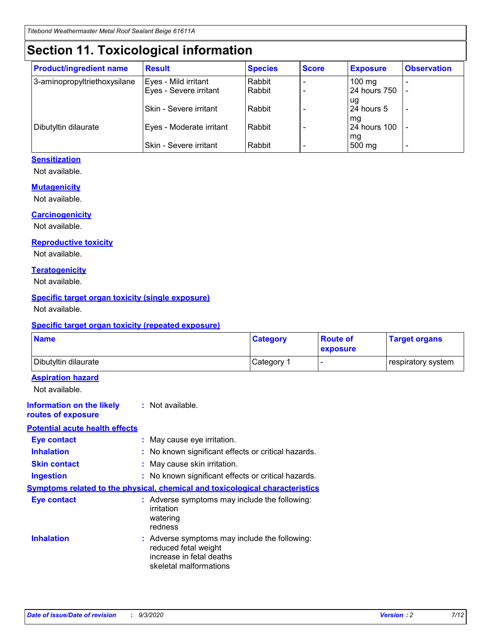# **Section 11. Toxicological information**

| <b>Product/ingredient name</b> | <b>Result</b>            | <b>Species</b> | <b>Score</b> | <b>Exposure</b>    | <b>Observation</b> |
|--------------------------------|--------------------------|----------------|--------------|--------------------|--------------------|
| 3-aminopropyltriethoxysilane   | Eyes - Mild irritant     | Rabbit         |              | $100 \text{ mg}$   |                    |
|                                | Eyes - Severe irritant   | Rabbit         |              | 24 hours 750       |                    |
|                                |                          |                |              | ug                 |                    |
|                                | Skin - Severe irritant   | Rabbit         |              | 24 hours 5         | -                  |
| Dibutyltin dilaurate           | Eyes - Moderate irritant | Rabbit         |              | mg<br>24 hours 100 |                    |
|                                |                          |                |              | mg                 |                    |
|                                | Skin - Severe irritant   | Rabbit         |              | 500 mg             | -                  |

### **Sensitization**

Not available.

### **Mutagenicity**

Not available.

### **Carcinogenicity**

Not available.

#### **Reproductive toxicity**

Not available.

### **Teratogenicity**

Not available.

### **Specific target organ toxicity (single exposure)**

Not available.

### **Specific target organ toxicity (repeated exposure)**

| <b>Name</b>                                                                  |                                                                                                                             | <b>Category</b>                                     | <b>Route of</b><br>exposure | <b>Target organs</b> |  |  |
|------------------------------------------------------------------------------|-----------------------------------------------------------------------------------------------------------------------------|-----------------------------------------------------|-----------------------------|----------------------|--|--|
| Dibutyltin dilaurate                                                         |                                                                                                                             | Category 1                                          | $\overline{\phantom{0}}$    | respiratory system   |  |  |
| <b>Aspiration hazard</b><br>Not available.                                   |                                                                                                                             |                                                     |                             |                      |  |  |
| <b>Information on the likely</b><br>routes of exposure                       | : Not available.                                                                                                            |                                                     |                             |                      |  |  |
| <b>Potential acute health effects</b>                                        |                                                                                                                             |                                                     |                             |                      |  |  |
| <b>Eye contact</b>                                                           |                                                                                                                             | : May cause eye irritation.                         |                             |                      |  |  |
| <b>Inhalation</b>                                                            |                                                                                                                             | : No known significant effects or critical hazards. |                             |                      |  |  |
| <b>Skin contact</b>                                                          |                                                                                                                             | : May cause skin irritation.                        |                             |                      |  |  |
| <b>Ingestion</b>                                                             |                                                                                                                             | : No known significant effects or critical hazards. |                             |                      |  |  |
| Symptoms related to the physical, chemical and toxicological characteristics |                                                                                                                             |                                                     |                             |                      |  |  |
| <b>Eye contact</b>                                                           | : Adverse symptoms may include the following:<br>irritation<br>watering<br>redness                                          |                                                     |                             |                      |  |  |
| <b>Inhalation</b>                                                            | : Adverse symptoms may include the following:<br>reduced fetal weight<br>increase in fetal deaths<br>skeletal malformations |                                                     |                             |                      |  |  |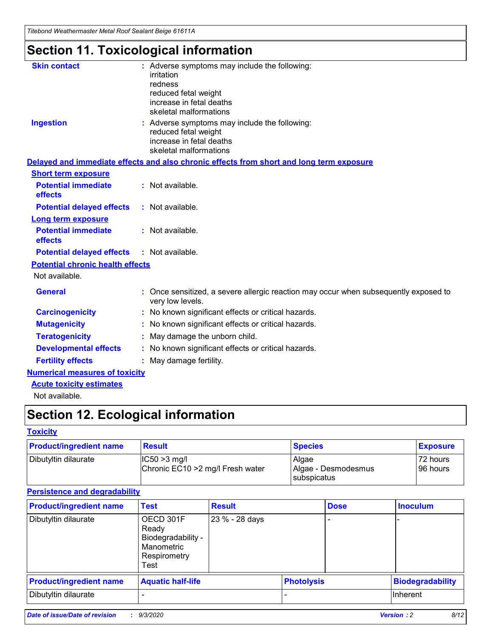*Titebond Weathermaster Metal Roof Sealant Beige 61611A*

# **Section 11. Toxicological information**

| <b>Skin contact</b>                     | : Adverse symptoms may include the following:<br>irritation                                            |
|-----------------------------------------|--------------------------------------------------------------------------------------------------------|
|                                         | redness                                                                                                |
|                                         | reduced fetal weight                                                                                   |
|                                         | increase in fetal deaths                                                                               |
|                                         | skeletal malformations                                                                                 |
| <b>Ingestion</b>                        | : Adverse symptoms may include the following:<br>reduced fetal weight                                  |
|                                         | increase in fetal deaths                                                                               |
|                                         | skeletal malformations                                                                                 |
|                                         | Delayed and immediate effects and also chronic effects from short and long term exposure               |
| <b>Short term exposure</b>              |                                                                                                        |
| <b>Potential immediate</b><br>effects   | : Not available.                                                                                       |
| <b>Potential delayed effects</b>        | : Not available.                                                                                       |
| <b>Long term exposure</b>               |                                                                                                        |
| <b>Potential immediate</b><br>effects   | : Not available.                                                                                       |
| <b>Potential delayed effects</b>        | : Not available.                                                                                       |
| <b>Potential chronic health effects</b> |                                                                                                        |
| Not available.                          |                                                                                                        |
| <b>General</b>                          | Once sensitized, a severe allergic reaction may occur when subsequently exposed to<br>very low levels. |
| <b>Carcinogenicity</b>                  | No known significant effects or critical hazards.                                                      |
| <b>Mutagenicity</b>                     | : No known significant effects or critical hazards.                                                    |
| <b>Teratogenicity</b>                   | May damage the unborn child.                                                                           |
| <b>Developmental effects</b>            | : No known significant effects or critical hazards.                                                    |
| <b>Fertility effects</b>                | : May damage fertility.                                                                                |
| <b>Numerical measures of toxicity</b>   |                                                                                                        |
| <b>Acute toxicity estimates</b>         |                                                                                                        |
| Not ovoilable                           |                                                                                                        |

Not available.

# **Section 12. Ecological information**

### **Toxicity**

| <b>Product/ingredient name</b> | <b>Result</b>                                       | <b>Species</b>               | <b>Exposure</b>       |
|--------------------------------|-----------------------------------------------------|------------------------------|-----------------------|
| Dibutyltin dilaurate           | $ CC50>3$ mg/l<br>Chronic EC10 > 2 mg/l Fresh water | Algae<br>Algae - Desmodesmus | 72 hours<br>196 hours |
|                                |                                                     | <b>I</b> subspicatus         |                       |

### **Persistence and degradability**

| <b>Product/ingredient name</b> | <b>Test</b>                                                                    | <b>Result</b>  |                   | <b>Dose</b> | <b>Inoculum</b>         |
|--------------------------------|--------------------------------------------------------------------------------|----------------|-------------------|-------------|-------------------------|
| Dibutyltin dilaurate           | OECD 301F<br>Ready<br>Biodegradability -<br>Manometric<br>Respirometry<br>Test | 23 % - 28 days |                   |             |                         |
| <b>Product/ingredient name</b> | <b>Aquatic half-life</b>                                                       |                | <b>Photolysis</b> |             | <b>Biodegradability</b> |
| Dibutyltin dilaurate           |                                                                                |                |                   |             | <b>Inherent</b>         |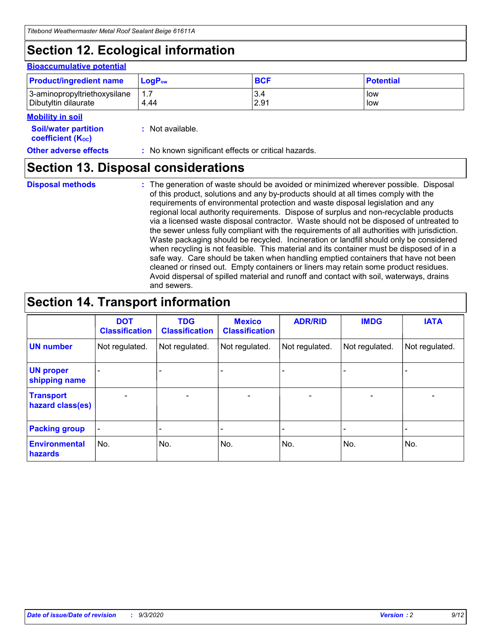# **Section 12. Ecological information**

#### **Bioaccumulative potential**

| <b>Product/ingredient name</b> | $\mathsf{LogP}_\mathsf{ow}$ | <b>BCF</b> | <b>Potential</b> |
|--------------------------------|-----------------------------|------------|------------------|
| 3-aminopropyltriethoxysilane   | 1.7                         | 3.4        | low              |
| Dibutyltin dilaurate           | 4.44                        | 2.91       | low              |

### **Mobility in soil**

| IVIUWIILV III SUII                                            |                                                     |
|---------------------------------------------------------------|-----------------------------------------------------|
| <b>Soil/water partition</b><br>coefficient (K <sub>oc</sub> ) | : Not available.                                    |
| <b>Other adverse effects</b>                                  | : No known significant effects or critical hazards. |

### **Section 13. Disposal considerations**

**Disposal methods :**

The generation of waste should be avoided or minimized wherever possible. Disposal of this product, solutions and any by-products should at all times comply with the requirements of environmental protection and waste disposal legislation and any regional local authority requirements. Dispose of surplus and non-recyclable products via a licensed waste disposal contractor. Waste should not be disposed of untreated to the sewer unless fully compliant with the requirements of all authorities with jurisdiction. Waste packaging should be recycled. Incineration or landfill should only be considered when recycling is not feasible. This material and its container must be disposed of in a safe way. Care should be taken when handling emptied containers that have not been cleaned or rinsed out. Empty containers or liners may retain some product residues. Avoid dispersal of spilled material and runoff and contact with soil, waterways, drains and sewers.

## **Section 14. Transport information**

|                                      | <b>DOT</b><br><b>Classification</b> | <b>TDG</b><br><b>Classification</b> | <b>Mexico</b><br><b>Classification</b> | <b>ADR/RID</b> | <b>IMDG</b>              | <b>IATA</b>    |
|--------------------------------------|-------------------------------------|-------------------------------------|----------------------------------------|----------------|--------------------------|----------------|
| <b>UN number</b>                     | Not regulated.                      | Not regulated.                      | Not regulated.                         | Not regulated. | Not regulated.           | Not regulated. |
| <b>UN proper</b><br>shipping name    |                                     |                                     |                                        |                |                          |                |
| <b>Transport</b><br>hazard class(es) |                                     | $\overline{\phantom{0}}$            | $\overline{\phantom{0}}$               |                | $\overline{\phantom{0}}$ |                |
| <b>Packing group</b>                 |                                     |                                     |                                        |                |                          |                |
| <b>Environmental</b><br>hazards      | No.                                 | No.                                 | No.                                    | No.            | No.                      | No.            |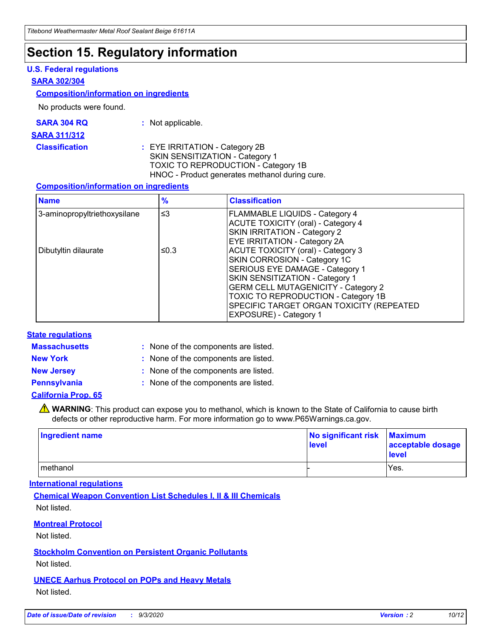## **Section 15. Regulatory information**

### **U.S. Federal regulations**

#### **SARA 302/304**

#### **Composition/information on ingredients**

No products were found.

| SARA 304 RQ | Not applicable. |
|-------------|-----------------|
|-------------|-----------------|

#### **SARA 311/312**

**Classification :** EYE IRRITATION - Category 2B SKIN SENSITIZATION - Category 1 TOXIC TO REPRODUCTION - Category 1B HNOC - Product generates methanol during cure.

### **Composition/information on ingredients**

| <b>Name</b>                  | $\frac{9}{6}$ | <b>Classification</b>                                                                                                                                                                                                                                                                                      |
|------------------------------|---------------|------------------------------------------------------------------------------------------------------------------------------------------------------------------------------------------------------------------------------------------------------------------------------------------------------------|
| 3-aminopropyltriethoxysilane | $\leq$ 3      | <b>FLAMMABLE LIQUIDS - Category 4</b><br><b>ACUTE TOXICITY (oral) - Category 4</b><br><b>SKIN IRRITATION - Category 2</b><br>EYE IRRITATION - Category 2A                                                                                                                                                  |
| Dibutyltin dilaurate         | ≤0.3          | <b>ACUTE TOXICITY (oral) - Category 3</b><br>SKIN CORROSION - Category 1C<br>SERIOUS EYE DAMAGE - Category 1<br>SKIN SENSITIZATION - Category 1<br><b>GERM CELL MUTAGENICITY - Category 2</b><br>TOXIC TO REPRODUCTION - Category 1B<br>SPECIFIC TARGET ORGAN TOXICITY (REPEATED<br>EXPOSURE) - Category 1 |

### **State regulations**

**Massachusetts :**

: None of the components are listed.

**New York :** None of the components are listed. **New Jersey :** None of the components are listed.

**Pennsylvania :** None of the components are listed.

### **California Prop. 65**

WARNING: This product can expose you to methanol, which is known to the State of California to cause birth defects or other reproductive harm. For more information go to www.P65Warnings.ca.gov.

| Ingredient name | No significant risk<br>level | <b>Maximum</b><br>acceptable dosage<br><b>level</b> |
|-----------------|------------------------------|-----------------------------------------------------|
| methanol        |                              | Yes.                                                |

### **International regulations**

**Chemical Weapon Convention List Schedules I, II & III Chemicals** Not listed.

### **Montreal Protocol**

Not listed.

**Stockholm Convention on Persistent Organic Pollutants**

Not listed.

**UNECE Aarhus Protocol on POPs and Heavy Metals** Not listed.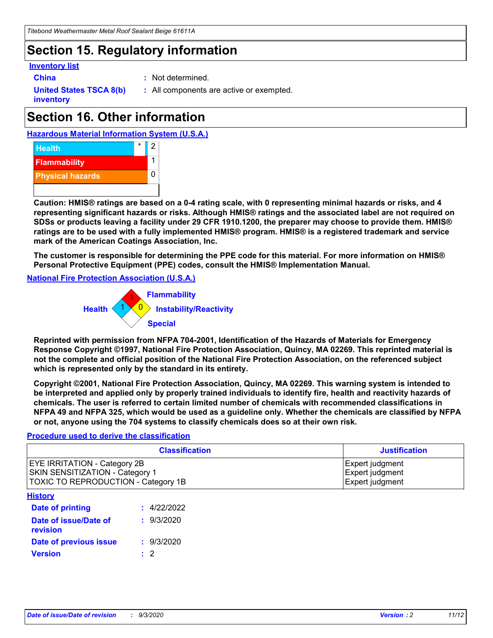## **Section 15. Regulatory information**

### **Inventory list**

- 
- **China :** Not determined.

**United States TSCA 8(b) inventory**

**:** All components are active or exempted.

# **Section 16. Other information**





**Caution: HMIS® ratings are based on a 0-4 rating scale, with 0 representing minimal hazards or risks, and 4 representing significant hazards or risks. Although HMIS® ratings and the associated label are not required on SDSs or products leaving a facility under 29 CFR 1910.1200, the preparer may choose to provide them. HMIS® ratings are to be used with a fully implemented HMIS® program. HMIS® is a registered trademark and service mark of the American Coatings Association, Inc.**

**The customer is responsible for determining the PPE code for this material. For more information on HMIS® Personal Protective Equipment (PPE) codes, consult the HMIS® Implementation Manual.**

**National Fire Protection Association (U.S.A.)**



**Reprinted with permission from NFPA 704-2001, Identification of the Hazards of Materials for Emergency Response Copyright ©1997, National Fire Protection Association, Quincy, MA 02269. This reprinted material is not the complete and official position of the National Fire Protection Association, on the referenced subject which is represented only by the standard in its entirety.**

**Copyright ©2001, National Fire Protection Association, Quincy, MA 02269. This warning system is intended to be interpreted and applied only by properly trained individuals to identify fire, health and reactivity hazards of chemicals. The user is referred to certain limited number of chemicals with recommended classifications in NFPA 49 and NFPA 325, which would be used as a guideline only. Whether the chemicals are classified by NFPA or not, anyone using the 704 systems to classify chemicals does so at their own risk.**

### **Procedure used to derive the classification**

| <b>Classification</b>                                                                                         | <b>Justification</b>                                  |
|---------------------------------------------------------------------------------------------------------------|-------------------------------------------------------|
| <b>EYE IRRITATION - Category 2B</b><br>SKIN SENSITIZATION - Category 1<br>TOXIC TO REPRODUCTION - Category 1B | Expert judgment<br>Expert judgment<br>Expert judgment |
| <b>History</b>                                                                                                |                                                       |

| .                                 |             |
|-----------------------------------|-------------|
| <b>Date of printing</b>           | : 4/22/2022 |
| Date of issue/Date of<br>revision | : 9/3/2020  |
| Date of previous issue            | : 9/3/2020  |
| <b>Version</b>                    | $\cdot$ 2   |
|                                   |             |